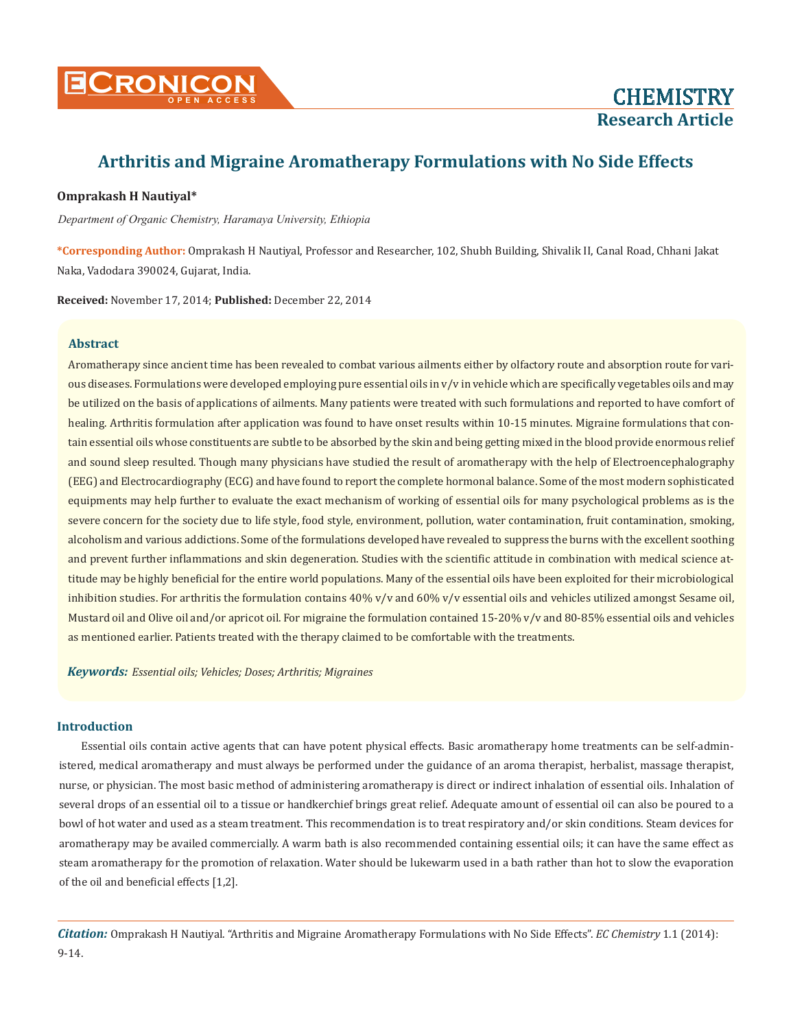

## **Omprakash H Nautiyal\***

 *Department of Organic Chemistry, Haramaya University, Ethiopia*

**\*Corresponding Author:** Omprakash H Nautiyal, Professor and Researcher, 102, Shubh Building, Shivalik II, Canal Road, Chhani Jakat Naka, Vadodara 390024, Gujarat, India.

**Received:** November 17, 2014; **Published:** December 22, 2014

#### **Abstract**

Aromatherapy since ancient time has been revealed to combat various ailments either by olfactory route and absorption route for various diseases. Formulations were developed employing pure essential oils in v/v in vehicle which are specifically vegetables oils and may be utilized on the basis of applications of ailments. Many patients were treated with such formulations and reported to have comfort of healing. Arthritis formulation after application was found to have onset results within 10-15 minutes. Migraine formulations that contain essential oils whose constituents are subtle to be absorbed by the skin and being getting mixed in the blood provide enormous relief and sound sleep resulted. Though many physicians have studied the result of aromatherapy with the help of Electroencephalography (EEG) and Electrocardiography (ECG) and have found to report the complete hormonal balance. Some of the most modern sophisticated equipments may help further to evaluate the exact mechanism of working of essential oils for many psychological problems as is the severe concern for the society due to life style, food style, environment, pollution, water contamination, fruit contamination, smoking, alcoholism and various addictions. Some of the formulations developed have revealed to suppress the burns with the excellent soothing and prevent further inflammations and skin degeneration. Studies with the scientific attitude in combination with medical science attitude may be highly beneficial for the entire world populations. Many of the essential oils have been exploited for their microbiological inhibition studies. For arthritis the formulation contains  $40\%$  v/v and  $60\%$  v/v essential oils and vehicles utilized amongst Sesame oil, Mustard oil and Olive oil and/or apricot oil. For migraine the formulation contained 15-20% v/v and 80-85% essential oils and vehicles as mentioned earlier. Patients treated with the therapy claimed to be comfortable with the treatments.

*Keywords: Essential oils; Vehicles; Doses; Arthritis; Migraines*

### **Introduction**

Essential oils contain active agents that can have potent physical effects. Basic aromatherapy home treatments can be self-administered, medical aromatherapy and must always be performed under the guidance of an aroma therapist, herbalist, massage therapist, nurse, or physician. The most basic method of administering aromatherapy is direct or indirect inhalation of essential oils. Inhalation of several drops of an essential oil to a tissue or handkerchief brings great relief. Adequate amount of essential oil can also be poured to a bowl of hot water and used as a steam treatment. This recommendation is to treat respiratory and/or skin conditions. Steam devices for aromatherapy may be availed commercially. A warm bath is also recommended containing essential oils; it can have the same effect as steam aromatherapy for the promotion of relaxation. Water should be lukewarm used in a bath rather than hot to slow the evaporation of the oil and beneficial effects [1,2].

*Citation:* Omprakash H Nautiyal. "Arthritis and Migraine Aromatherapy Formulations with No Side Effects". *EC Chemistry* 1.1 (2014): 9-14.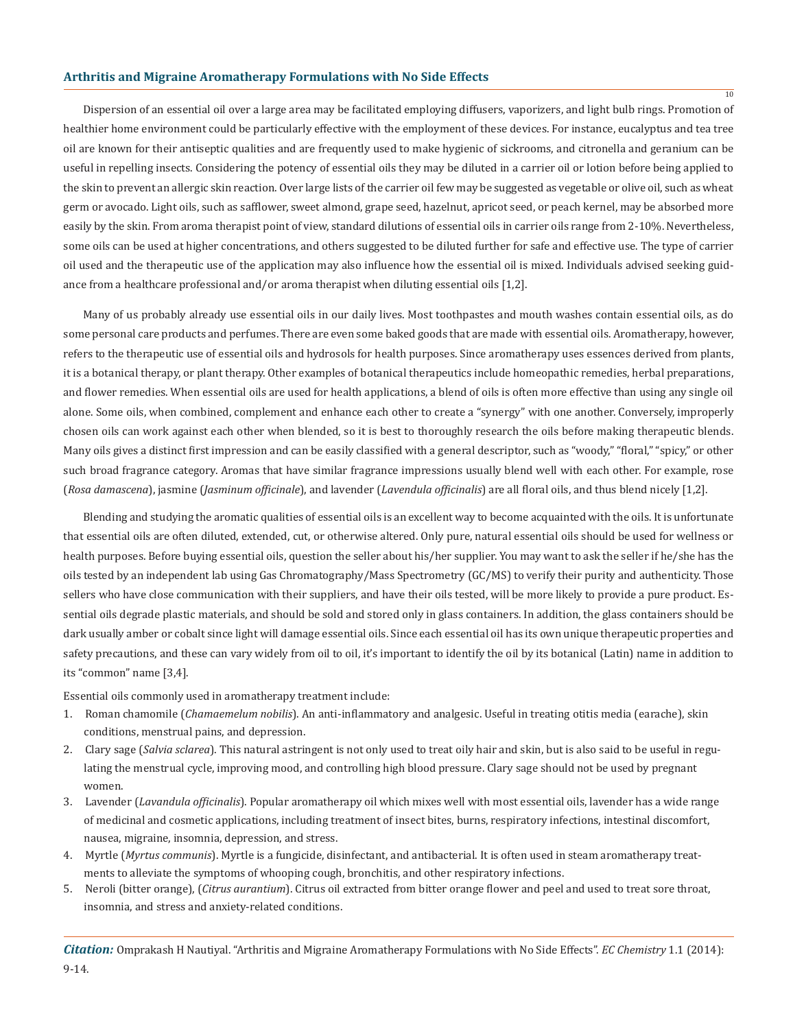Dispersion of an essential oil over a large area may be facilitated employing diffusers, vaporizers, and light bulb rings. Promotion of healthier home environment could be particularly effective with the employment of these devices. For instance, eucalyptus and tea tree oil are known for their antiseptic qualities and are frequently used to make hygienic of sickrooms, and citronella and geranium can be useful in repelling insects. Considering the potency of essential oils they may be diluted in a carrier oil or lotion before being applied to the skin to prevent an allergic skin reaction. Over large lists of the carrier oil few may be suggested as vegetable or olive oil, such as wheat germ or avocado. Light oils, such as safflower, sweet almond, grape seed, hazelnut, apricot seed, or peach kernel, may be absorbed more easily by the skin. From aroma therapist point of view, standard dilutions of essential oils in carrier oils range from 2-10%. Nevertheless, some oils can be used at higher concentrations, and others suggested to be diluted further for safe and effective use. The type of carrier oil used and the therapeutic use of the application may also influence how the essential oil is mixed. Individuals advised seeking guidance from a healthcare professional and/or aroma therapist when diluting essential oils [1,2].

Many of us probably already use essential oils in our daily lives. Most toothpastes and mouth washes contain essential oils, as do some personal care products and perfumes. There are even some baked goods that are made with essential oils. Aromatherapy, however, refers to the therapeutic use of essential oils and hydrosols for health purposes. Since aromatherapy uses essences derived from plants, it is a botanical therapy, or plant therapy. Other examples of botanical therapeutics include homeopathic remedies, herbal preparations, and flower remedies. When essential oils are used for health applications, a blend of oils is often more effective than using any single oil alone. Some oils, when combined, complement and enhance each other to create a "synergy" with one another. Conversely, improperly chosen oils can work against each other when blended, so it is best to thoroughly research the oils before making therapeutic blends. Many oils gives a distinct first impression and can be easily classified with a general descriptor, such as "woody," "floral," "spicy," or other such broad fragrance category. Aromas that have similar fragrance impressions usually blend well with each other. For example, rose (*Rosa damascena*), jasmine (*Jasminum officinale*), and lavender (*Lavendula officinalis*) are all floral oils, and thus blend nicely [1,2].

Blending and studying the aromatic qualities of essential oils is an excellent way to become acquainted with the oils. It is unfortunate that essential oils are often diluted, extended, cut, or otherwise altered. Only pure, natural essential oils should be used for wellness or health purposes. Before buying essential oils, question the seller about his/her supplier. You may want to ask the seller if he/she has the oils tested by an independent lab using Gas Chromatography/Mass Spectrometry (GC/MS) to verify their purity and authenticity. Those sellers who have close communication with their suppliers, and have their oils tested, will be more likely to provide a pure product. Essential oils degrade plastic materials, and should be sold and stored only in glass containers. In addition, the glass containers should be dark usually amber or cobalt since light will damage essential oils. Since each essential oil has its own unique therapeutic properties and safety precautions, and these can vary widely from oil to oil, it's important to identify the oil by its botanical (Latin) name in addition to its "common" name [3,4].

Essential oils commonly used in aromatherapy treatment include:

- 1. Roman chamomile (*Chamaemelum nobilis*). An anti-inflammatory and analgesic. Useful in treating otitis media (earache), skin conditions, menstrual pains, and depression.
- 2. Clary sage (*Salvia sclarea*). This natural astringent is not only used to treat oily hair and skin, but is also said to be useful in regu lating the menstrual cycle, improving mood, and controlling high blood pressure. Clary sage should not be used by pregnant women.
- 3. Lavender (*Lavandula officinalis*). Popular aromatherapy oil which mixes well with most essential oils, lavender has a wide range of medicinal and cosmetic applications, including treatment of insect bites, burns, respiratory infections, intestinal discomfort, nausea, migraine, insomnia, depression, and stress.
- 4. Myrtle (*Myrtus communis*). Myrtle is a fungicide, disinfectant, and antibacterial. It is often used in steam aromatherapy treat ments to alleviate the symptoms of whooping cough, bronchitis, and other respiratory infections.
- 5. Neroli (bitter orange), (*Citrus aurantium*). Citrus oil extracted from bitter orange flower and peel and used to treat sore throat, insomnia, and stress and anxiety-related conditions.

*Citation:* Omprakash H Nautiyal. "Arthritis and Migraine Aromatherapy Formulations with No Side Effects". *EC Chemistry* 1.1 (2014): 9-14.

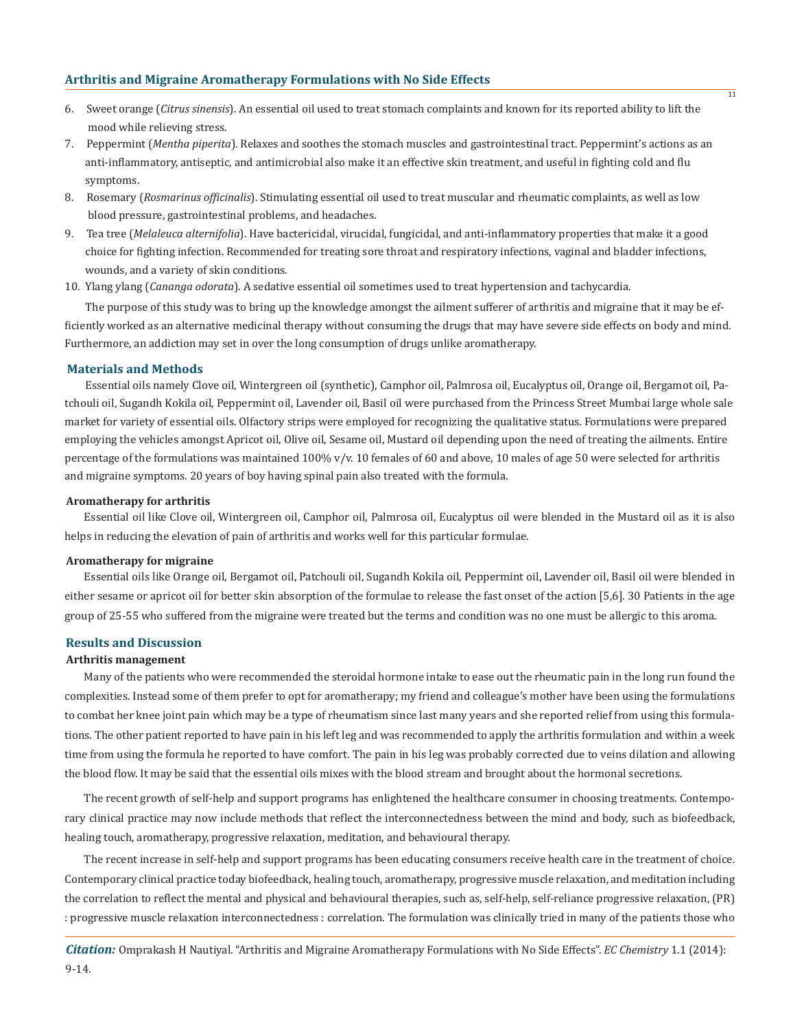- 6. Sweet orange (*Citrus sinensis*). An essential oil used to treat stomach complaints and known for its reported ability to lift the mood while relieving stress.
- 7. Peppermint (*Mentha piperita*). Relaxes and soothes the stomach muscles and gastrointestinal tract. Peppermint's actions as an anti-inflammatory, antiseptic, and antimicrobial also make it an effective skin treatment, and useful in fighting cold and flu symptoms.
- 8. Rosemary (*Rosmarinus officinalis*). Stimulating essential oil used to treat muscular and rheumatic complaints, as well as low blood pressure, gastrointestinal problems, and headaches.
- 9. Tea tree (*Melaleuca alternifolia*). Have bactericidal, virucidal, fungicidal, and anti-inflammatory properties that make it a good choice for fighting infection. Recommended for treating sore throat and respiratory infections, vaginal and bladder infections, wounds, and a variety of skin conditions.
- 10. Ylang ylang (*Cananga odorata*). A sedative essential oil sometimes used to treat hypertension and tachycardia.

 The purpose of this study was to bring up the knowledge amongst the ailment sufferer of arthritis and migraine that it may be efficiently worked as an alternative medicinal therapy without consuming the drugs that may have severe side effects on body and mind. Furthermore, an addiction may set in over the long consumption of drugs unlike aromatherapy.

## **Materials and Methods**

 Essential oils namely Clove oil, Wintergreen oil (synthetic), Camphor oil, Palmrosa oil, Eucalyptus oil, Orange oil, Bergamot oil, Patchouli oil, Sugandh Kokila oil, Peppermint oil, Lavender oil, Basil oil were purchased from the Princess Street Mumbai large whole sale market for variety of essential oils. Olfactory strips were employed for recognizing the qualitative status. Formulations were prepared employing the vehicles amongst Apricot oil, Olive oil, Sesame oil, Mustard oil depending upon the need of treating the ailments. Entire percentage of the formulations was maintained 100%  $v/v$ . 10 females of 60 and above, 10 males of age 50 were selected for arthritis and migraine symptoms. 20 years of boy having spinal pain also treated with the formula.

#### **Aromatherapy for arthritis**

Essential oil like Clove oil, Wintergreen oil, Camphor oil, Palmrosa oil, Eucalyptus oil were blended in the Mustard oil as it is also helps in reducing the elevation of pain of arthritis and works well for this particular formulae.

#### **Aromatherapy for migraine**

Essential oils like Orange oil, Bergamot oil, Patchouli oil, Sugandh Kokila oil, Peppermint oil, Lavender oil, Basil oil were blended in either sesame or apricot oil for better skin absorption of the formulae to release the fast onset of the action [5,6]. 30 Patients in the age group of 25-55 who suffered from the migraine were treated but the terms and condition was no one must be allergic to this aroma.

#### **Results and Discussion**

#### **Arthritis management**

Many of the patients who were recommended the steroidal hormone intake to ease out the rheumatic pain in the long run found the complexities. Instead some of them prefer to opt for aromatherapy; my friend and colleague's mother have been using the formulations to combat her knee joint pain which may be a type of rheumatism since last many years and she reported relief from using this formulations. The other patient reported to have pain in his left leg and was recommended to apply the arthritis formulation and within a week time from using the formula he reported to have comfort. The pain in his leg was probably corrected due to veins dilation and allowing the blood flow. It may be said that the essential oils mixes with the blood stream and brought about the hormonal secretions.

The recent growth of self-help and support programs has enlightened the healthcare consumer in choosing treatments. Contemporary clinical practice may now include methods that reflect the interconnectedness between the mind and body, such as biofeedback, healing touch, aromatherapy, progressive relaxation, meditation, and behavioural therapy.

The recent increase in self-help and support programs has been educating consumers receive health care in the treatment of choice. Contemporary clinical practice today biofeedback, healing touch, aromatherapy, progressive muscle relaxation, and meditation including the correlation to reflect the mental and physical and behavioural therapies, such as, self-help, self-reliance progressive relaxation, (PR) : progressive muscle relaxation interconnectedness : correlation. The formulation was clinically tried in many of the patients those who

*Citation:* Omprakash H Nautiyal. "Arthritis and Migraine Aromatherapy Formulations with No Side Effects". *EC Chemistry* 1.1 (2014): 9-14.

 $\overline{11}$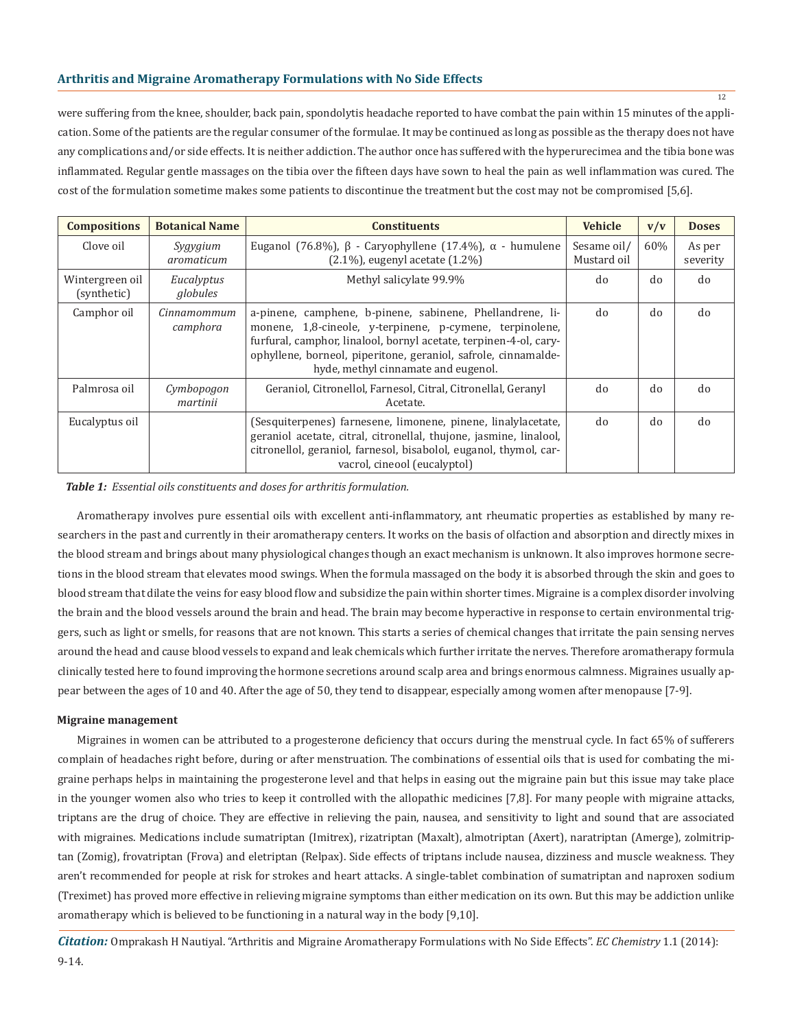were suffering from the knee, shoulder, back pain, spondolytis headache reported to have combat the pain within 15 minutes of the application. Some of the patients are the regular consumer of the formulae. It may be continued as long as possible as the therapy does not have any complications and/or side effects. It is neither addiction. The author once has suffered with the hyperurecimea and the tibia bone was inflammated. Regular gentle massages on the tibia over the fifteen days have sown to heal the pain as well inflammation was cured. The cost of the formulation sometime makes some patients to discontinue the treatment but the cost may not be compromised [5,6].

| <b>Compositions</b>            | <b>Botanical Name</b>   | <b>Constituents</b>                                                                                                                                                                                                                                                                                 | <b>Vehicle</b>             | v/v | <b>Doses</b>       |
|--------------------------------|-------------------------|-----------------------------------------------------------------------------------------------------------------------------------------------------------------------------------------------------------------------------------------------------------------------------------------------------|----------------------------|-----|--------------------|
| Clove oil                      | Sygygium<br>aromaticum  | Euganol (76.8%), $\beta$ - Caryophyllene (17.4%), $\alpha$ - humulene<br>$(2.1\%)$ , eugenyl acetate $(1.2\%)$                                                                                                                                                                                      | Sesame oil/<br>Mustard oil | 60% | As per<br>severity |
| Wintergreen oil<br>(synthetic) | Eucalyptus<br>globules  | Methyl salicylate 99.9%                                                                                                                                                                                                                                                                             | do                         | do  | do                 |
| Camphor oil                    | Cinnamommum<br>camphora | a-pinene, camphene, b-pinene, sabinene, Phellandrene, li-<br>monene, 1,8-cineole, y-terpinene, p-cymene, terpinolene,<br>furfural, camphor, linalool, bornyl acetate, terpinen-4-ol, cary-<br>ophyllene, borneol, piperitone, geraniol, safrole, cinnamalde-<br>hyde, methyl cinnamate and eugenol. | do                         | do  | do                 |
| Palmrosa oil                   | Cymbopogon<br>martinii  | Geraniol, Citronellol, Farnesol, Citral, Citronellal, Geranyl<br>Acetate.                                                                                                                                                                                                                           | do                         | do  | do                 |
| Eucalyptus oil                 |                         | (Sesquiterpenes) farnesene, limonene, pinene, linalylacetate,<br>geraniol acetate, citral, citronellal, thujone, jasmine, linalool,<br>citronellol, geraniol, farnesol, bisabolol, euganol, thymol, car-<br>vacrol, cineool (eucalyptol)                                                            | do                         | do  | do                 |

*Table 1: Essential oils constituents and doses for arthritis formulation.*

Aromatherapy involves pure essential oils with excellent anti-inflammatory, ant rheumatic properties as established by many researchers in the past and currently in their aromatherapy centers. It works on the basis of olfaction and absorption and directly mixes in the blood stream and brings about many physiological changes though an exact mechanism is unknown. It also improves hormone secretions in the blood stream that elevates mood swings. When the formula massaged on the body it is absorbed through the skin and goes to blood stream that dilate the veins for easy blood flow and subsidize the pain within shorter times. Migraine is a complex disorder involving the brain and the blood vessels around the brain and head. The brain may become hyperactive in response to certain environmental triggers, such as light or smells, for reasons that are not known. This starts a series of chemical changes that irritate the pain sensing nerves around the head and cause blood vessels to expand and leak chemicals which further irritate the nerves. Therefore aromatherapy formula clinically tested here to found improving the hormone secretions around scalp area and brings enormous calmness. Migraines usually appear between the ages of 10 and 40. After the age of 50, they tend to disappear, especially among women after menopause [7-9].

#### **Migraine management**

Migraines in women can be attributed to a progesterone deficiency that occurs during the menstrual cycle. In fact 65% of sufferers complain of headaches right before, during or after menstruation. The combinations of essential oils that is used for combating the migraine perhaps helps in maintaining the progesterone level and that helps in easing out the migraine pain but this issue may take place in the younger women also who tries to keep it controlled with the allopathic medicines [7,8]. For many people with migraine attacks, triptans are the drug of choice. They are effective in relieving the pain, nausea, and sensitivity to light and sound that are associated with migraines. Medications include sumatriptan (Imitrex), rizatriptan (Maxalt), almotriptan (Axert), naratriptan (Amerge), zolmitriptan (Zomig), frovatriptan (Frova) and eletriptan (Relpax). Side effects of triptans include nausea, dizziness and muscle weakness. They aren't recommended for people at risk for strokes and heart attacks. A single-tablet combination of sumatriptan and naproxen sodium (Treximet) has proved more effective in relieving migraine symptoms than either medication on its own. But this may be addiction unlike aromatherapy which is believed to be functioning in a natural way in the body [9,10].

*Citation:* Omprakash H Nautiyal. "Arthritis and Migraine Aromatherapy Formulations with No Side Effects". *EC Chemistry* 1.1 (2014): 9-14.

12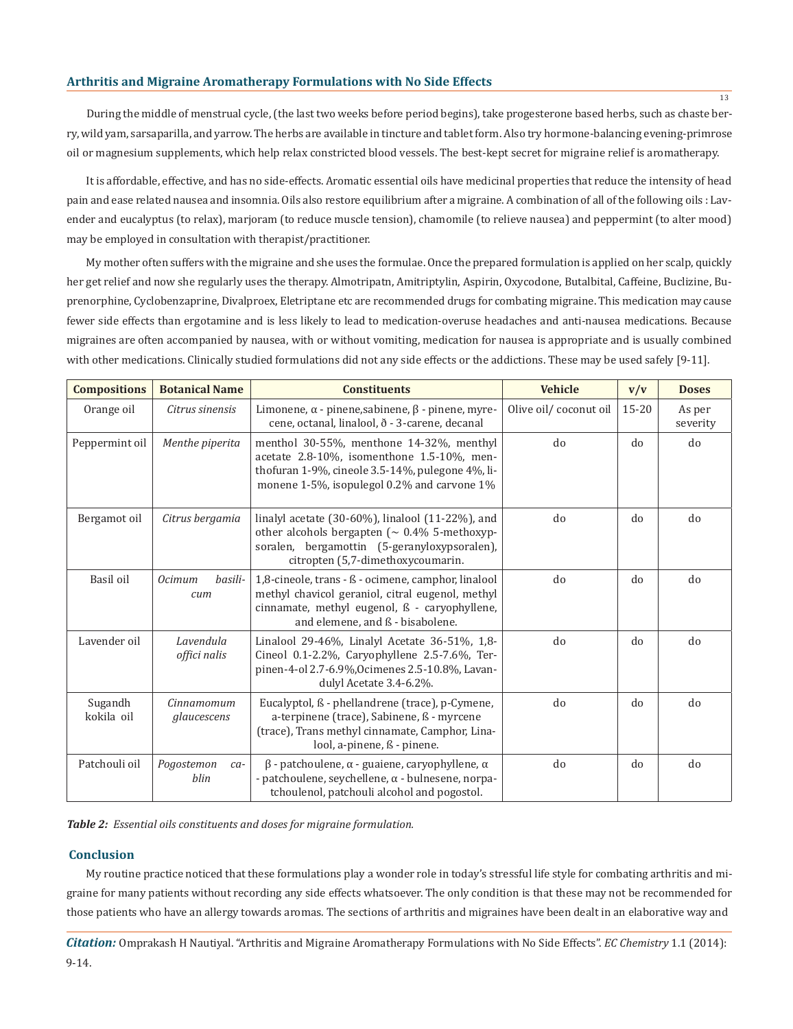During the middle of menstrual cycle, (the last two weeks before period begins), take progesterone based herbs, such as chaste berry, wild yam, sarsaparilla, and yarrow. The herbs are available in tincture and tablet form. Also try hormone-balancing evening-primrose oil or magnesium supplements, which help relax constricted blood vessels. The best-kept secret for migraine relief is aromatherapy.

It is affordable, effective, and has no side-effects. Aromatic essential oils have medicinal properties that reduce the intensity of head pain and ease related nausea and insomnia. Oils also restore equilibrium after a migraine. A combination of all of the following oils : Lavender and eucalyptus (to relax), marjoram (to reduce muscle tension), chamomile (to relieve nausea) and peppermint (to alter mood) may be employed in consultation with therapist/practitioner.

My mother often suffers with the migraine and she uses the formulae. Once the prepared formulation is applied on her scalp, quickly her get relief and now she regularly uses the therapy. Almotripatn, Amitriptylin, Aspirin, Oxycodone, Butalbital, Caffeine, Buclizine, Buprenorphine, Cyclobenzaprine, Divalproex, Eletriptane etc are recommended drugs for combating migraine. This medication may cause fewer side effects than ergotamine and is less likely to lead to medication-overuse headaches and anti-nausea medications. Because migraines are often accompanied by nausea, with or without vomiting, medication for nausea is appropriate and is usually combined with other medications. Clinically studied formulations did not any side effects or the addictions. These may be used safely [9-11].

| <b>Compositions</b>   | <b>Botanical Name</b>              | <b>Constituents</b>                                                                                                                                                                                  | <b>Vehicle</b>        | v/v       | <b>Doses</b>       |
|-----------------------|------------------------------------|------------------------------------------------------------------------------------------------------------------------------------------------------------------------------------------------------|-----------------------|-----------|--------------------|
| Orange oil            | Citrus sinensis                    | Limonene, $\alpha$ - pinene, sabinene, $\beta$ - pinene, myre-<br>cene, octanal, linalool, ð - 3-carene, decanal                                                                                     | Olive oil/coconut oil | $15 - 20$ | As per<br>severity |
| Peppermint oil        | Menthe piperita                    | menthol 30-55%, menthone 14-32%, menthyl<br>acetate 2.8-10%, isomenthone 1.5-10%, men-<br>thofuran 1-9%, cineole 3.5-14%, pulegone 4%, li-<br>monene 1-5%, isopulegol 0.2% and carvone 1%            | d <sub>0</sub>        | do        | do                 |
| Bergamot oil          | Citrus bergamia                    | linalyl acetate $(30-60\%)$ , linalool $(11-22\%)$ , and<br>other alcohols bergapten ( $\sim 0.4\%$ 5-methoxyp-<br>soralen, bergamottin (5-geranyloxypsoralen),<br>citropten (5,7-dimethoxycoumarin. | do                    | do        | do                 |
| Basil oil             | hasili-<br><i>Ocimum</i><br>cum    | 1,8-cineole, trans - ß - ocimene, camphor, linalool<br>methyl chavicol geraniol, citral eugenol, methyl<br>cinnamate, methyl eugenol, ß - caryophyllene,<br>and elemene, and ß - bisabolene.         | do                    | do        | do                 |
| Lavender oil          | Lavendula<br>offici nalis          | Linalool 29-46%, Linalyl Acetate 36-51%, 1,8-<br>Cineol 0.1-2.2%, Caryophyllene 2.5-7.6%, Ter-<br>pinen-4-ol 2.7-6.9%, Ocimenes 2.5-10.8%, Lavan-<br>dulyl Acetate 3.4-6.2%.                         | do                    | do        | do                 |
| Sugandh<br>kokila oil | Cinnamomum<br>glaucescens          | Eucalyptol, ß - phellandrene (trace), p-Cymene,<br>a-terpinene (trace), Sabinene, ß - myrcene<br>(trace), Trans methyl cinnamate, Camphor, Lina-<br>lool, a-pinene, ß - pinene.                      | do                    | do        | do                 |
| Patchouli oil         | Pogostemon<br>$ca-$<br><i>blin</i> | $β$ - patchoulene, $α$ - guaiene, caryophyllene, $α$<br>- patchoulene, seychellene, α - bulnesene, norpa-<br>tchoulenol, patchouli alcohol and pogostol.                                             | do                    | do        | do                 |

*Table 2: Essential oils constituents and doses for migraine formulation.*

## **Conclusion**

My routine practice noticed that these formulations play a wonder role in today's stressful life style for combating arthritis and migraine for many patients without recording any side effects whatsoever. The only condition is that these may not be recommended for those patients who have an allergy towards aromas. The sections of arthritis and migraines have been dealt in an elaborative way and

*Citation:* Omprakash H Nautiyal. "Arthritis and Migraine Aromatherapy Formulations with No Side Effects". *EC Chemistry* 1.1 (2014): 9-14.

13